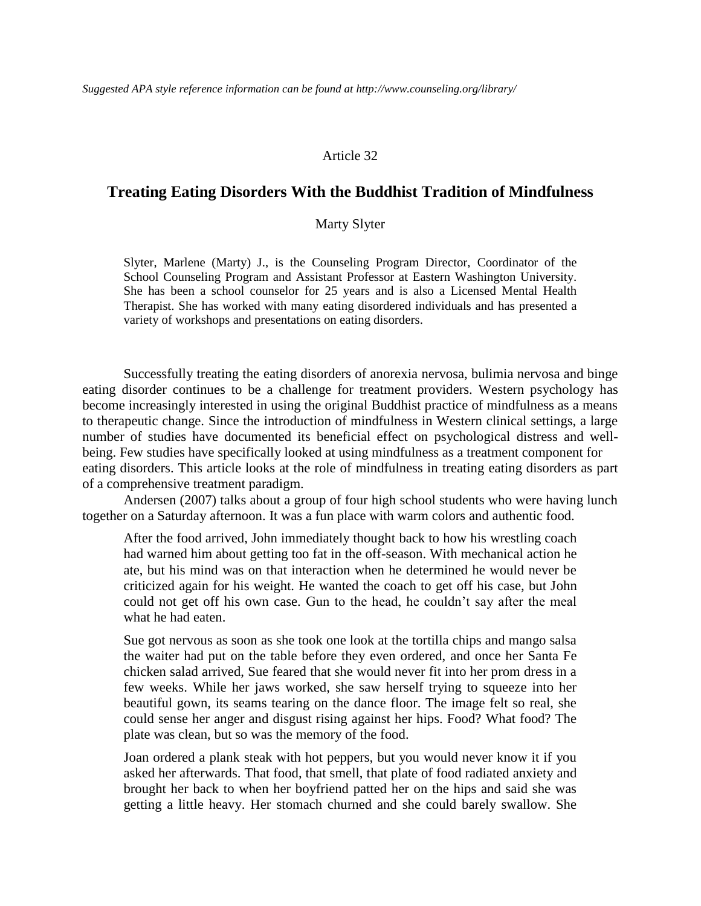#### Article 32

#### **Treating Eating Disorders With the Buddhist Tradition of Mindfulness**

#### Marty Slyter

Slyter, Marlene (Marty) J., is the Counseling Program Director, Coordinator of the School Counseling Program and Assistant Professor at Eastern Washington University. She has been a school counselor for 25 years and is also a Licensed Mental Health Therapist. She has worked with many eating disordered individuals and has presented a variety of workshops and presentations on eating disorders.

Successfully treating the eating disorders of anorexia nervosa, bulimia nervosa and binge eating disorder continues to be a challenge for treatment providers. Western psychology has become increasingly interested in using the original Buddhist practice of mindfulness as a means to therapeutic change. Since the introduction of mindfulness in Western clinical settings, a large number of studies have documented its beneficial effect on psychological distress and wellbeing. Few studies have specifically looked at using mindfulness as a treatment component for eating disorders. This article looks at the role of mindfulness in treating eating disorders as part of a comprehensive treatment paradigm.

Andersen (2007) talks about a group of four high school students who were having lunch together on a Saturday afternoon. It was a fun place with warm colors and authentic food.

After the food arrived, John immediately thought back to how his wrestling coach had warned him about getting too fat in the off-season. With mechanical action he ate, but his mind was on that interaction when he determined he would never be criticized again for his weight. He wanted the coach to get off his case, but John could not get off his own case. Gun to the head, he couldn't say after the meal what he had eaten.

Sue got nervous as soon as she took one look at the tortilla chips and mango salsa the waiter had put on the table before they even ordered, and once her Santa Fe chicken salad arrived, Sue feared that she would never fit into her prom dress in a few weeks. While her jaws worked, she saw herself trying to squeeze into her beautiful gown, its seams tearing on the dance floor. The image felt so real, she could sense her anger and disgust rising against her hips. Food? What food? The plate was clean, but so was the memory of the food.

Joan ordered a plank steak with hot peppers, but you would never know it if you asked her afterwards. That food, that smell, that plate of food radiated anxiety and brought her back to when her boyfriend patted her on the hips and said she was getting a little heavy. Her stomach churned and she could barely swallow. She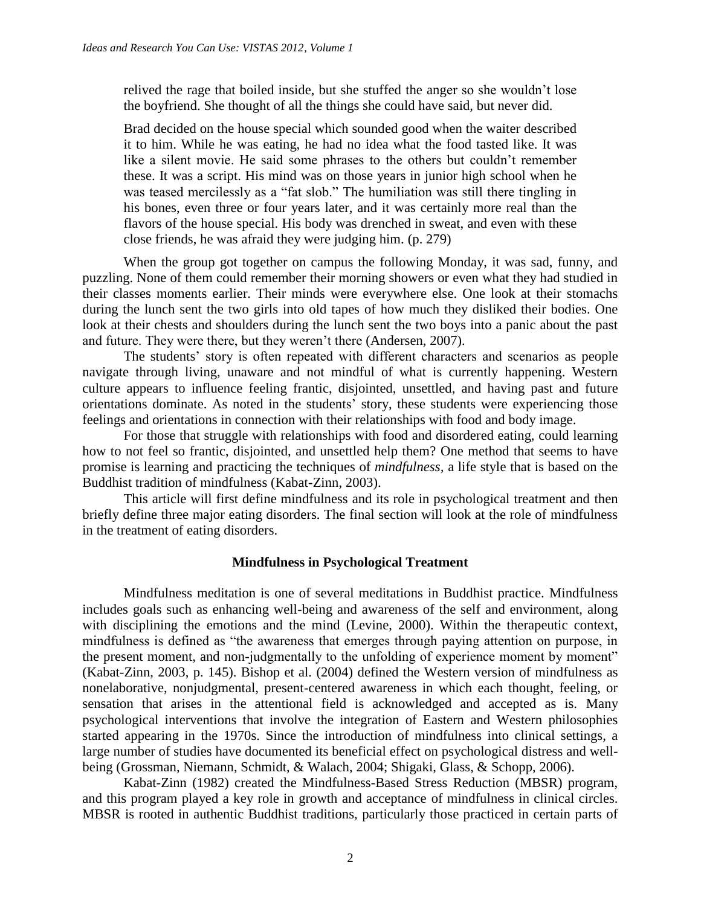relived the rage that boiled inside, but she stuffed the anger so she wouldn't lose the boyfriend. She thought of all the things she could have said, but never did.

Brad decided on the house special which sounded good when the waiter described it to him. While he was eating, he had no idea what the food tasted like. It was like a silent movie. He said some phrases to the others but couldn't remember these. It was a script. His mind was on those years in junior high school when he was teased mercilessly as a "fat slob." The humiliation was still there tingling in his bones, even three or four years later, and it was certainly more real than the flavors of the house special. His body was drenched in sweat, and even with these close friends, he was afraid they were judging him. (p. 279)

When the group got together on campus the following Monday, it was sad, funny, and puzzling. None of them could remember their morning showers or even what they had studied in their classes moments earlier. Their minds were everywhere else. One look at their stomachs during the lunch sent the two girls into old tapes of how much they disliked their bodies. One look at their chests and shoulders during the lunch sent the two boys into a panic about the past and future. They were there, but they weren't there (Andersen, 2007).

The students' story is often repeated with different characters and scenarios as people navigate through living, unaware and not mindful of what is currently happening. Western culture appears to influence feeling frantic, disjointed, unsettled, and having past and future orientations dominate. As noted in the students' story, these students were experiencing those feelings and orientations in connection with their relationships with food and body image.

For those that struggle with relationships with food and disordered eating, could learning how to not feel so frantic, disjointed, and unsettled help them? One method that seems to have promise is learning and practicing the techniques of *mindfulness,* a life style that is based on the Buddhist tradition of mindfulness (Kabat-Zinn, 2003).

This article will first define mindfulness and its role in psychological treatment and then briefly define three major eating disorders. The final section will look at the role of mindfulness in the treatment of eating disorders.

#### **Mindfulness in Psychological Treatment**

Mindfulness meditation is one of several meditations in Buddhist practice. Mindfulness includes goals such as enhancing well-being and awareness of the self and environment, along with disciplining the emotions and the mind (Levine, 2000). Within the therapeutic context, mindfulness is defined as "the awareness that emerges through paying attention on purpose, in the present moment, and non-judgmentally to the unfolding of experience moment by moment" (Kabat-Zinn, 2003, p. 145). Bishop et al. (2004) defined the Western version of mindfulness as nonelaborative, nonjudgmental, present-centered awareness in which each thought, feeling, or sensation that arises in the attentional field is acknowledged and accepted as is. Many psychological interventions that involve the integration of Eastern and Western philosophies started appearing in the 1970s. Since the introduction of mindfulness into clinical settings, a large number of studies have documented its beneficial effect on psychological distress and wellbeing (Grossman, Niemann, Schmidt, & Walach, 2004; Shigaki, Glass, & Schopp, 2006).

Kabat-Zinn (1982) created the Mindfulness-Based Stress Reduction (MBSR) program, and this program played a key role in growth and acceptance of mindfulness in clinical circles. MBSR is rooted in authentic Buddhist traditions, particularly those practiced in certain parts of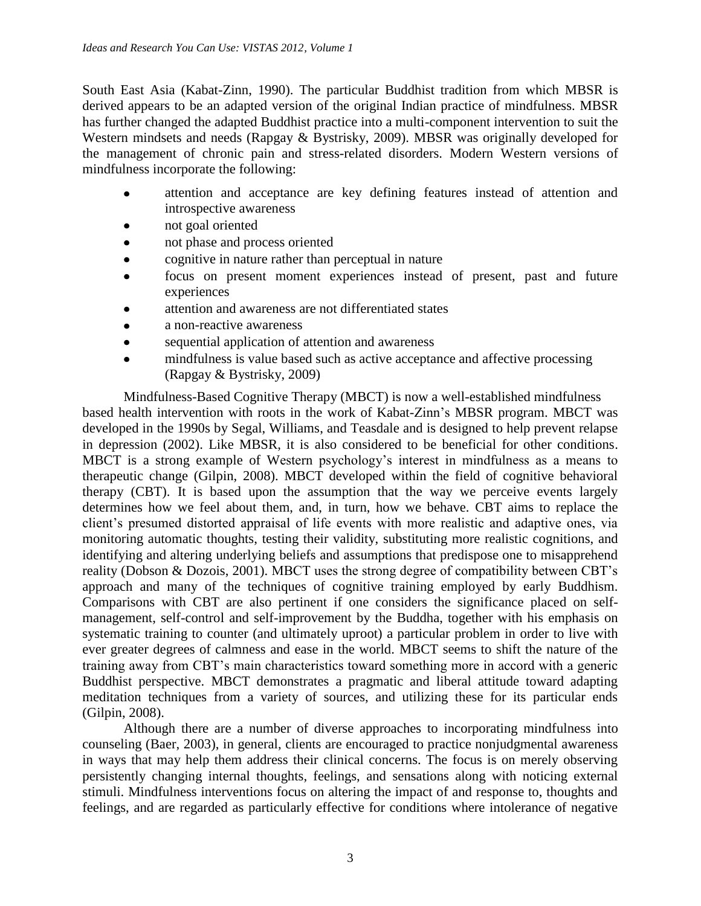South East Asia (Kabat-Zinn, 1990). The particular Buddhist tradition from which MBSR is derived appears to be an adapted version of the original Indian practice of mindfulness. MBSR has further changed the adapted Buddhist practice into a multi-component intervention to suit the Western mindsets and needs (Rapgay & Bystrisky, 2009). MBSR was originally developed for the management of chronic pain and stress-related disorders. Modern Western versions of mindfulness incorporate the following:

- attention and acceptance are key defining features instead of attention and  $\bullet$ introspective awareness
- not goal oriented
- not phase and process oriented
- cognitive in nature rather than perceptual in nature
- focus on present moment experiences instead of present, past and future experiences
- attention and awareness are not differentiated states
- a non-reactive awareness
- sequential application of attention and awareness
- mindfulness is value based such as active acceptance and affective processing (Rapgay & Bystrisky, 2009)

Mindfulness-Based Cognitive Therapy (MBCT) is now a well-established mindfulness based health intervention with roots in the work of Kabat-Zinn's MBSR program. MBCT was developed in the 1990s by Segal, Williams, and Teasdale and is designed to help prevent relapse in depression (2002). Like MBSR, it is also considered to be beneficial for other conditions. MBCT is a strong example of Western psychology's interest in mindfulness as a means to therapeutic change (Gilpin, 2008). MBCT developed within the field of cognitive behavioral therapy (CBT). It is based upon the assumption that the way we perceive events largely determines how we feel about them, and, in turn, how we behave. CBT aims to replace the client's presumed distorted appraisal of life events with more realistic and adaptive ones, via monitoring automatic thoughts, testing their validity, substituting more realistic cognitions, and identifying and altering underlying beliefs and assumptions that predispose one to misapprehend reality (Dobson & Dozois, 2001). MBCT uses the strong degree of compatibility between CBT's approach and many of the techniques of cognitive training employed by early Buddhism. Comparisons with CBT are also pertinent if one considers the significance placed on selfmanagement, self-control and self-improvement by the Buddha, together with his emphasis on systematic training to counter (and ultimately uproot) a particular problem in order to live with ever greater degrees of calmness and ease in the world. MBCT seems to shift the nature of the training away from CBT's main characteristics toward something more in accord with a generic Buddhist perspective. MBCT demonstrates a pragmatic and liberal attitude toward adapting meditation techniques from a variety of sources, and utilizing these for its particular ends (Gilpin, 2008).

Although there are a number of diverse approaches to incorporating mindfulness into counseling (Baer, 2003), in general, clients are encouraged to practice nonjudgmental awareness in ways that may help them address their clinical concerns. The focus is on merely observing persistently changing internal thoughts, feelings, and sensations along with noticing external stimuli. Mindfulness interventions focus on altering the impact of and response to, thoughts and feelings, and are regarded as particularly effective for conditions where intolerance of negative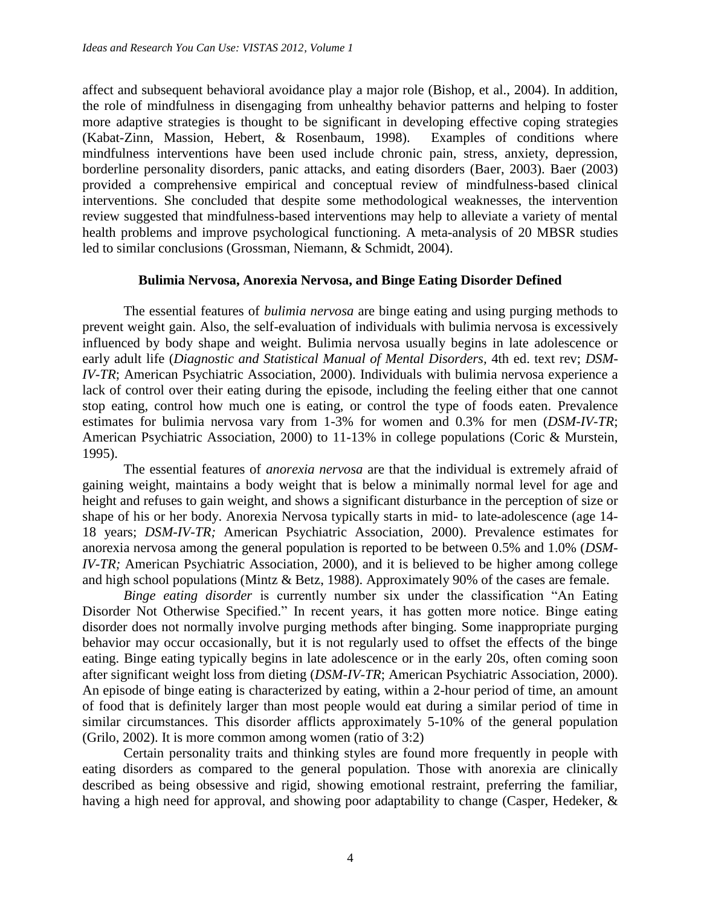affect and subsequent behavioral avoidance play a major role (Bishop, et al., 2004). In addition, the role of mindfulness in disengaging from unhealthy behavior patterns and helping to foster more adaptive strategies is thought to be significant in developing effective coping strategies (Kabat-Zinn, Massion, Hebert, & Rosenbaum, 1998). Examples of conditions where mindfulness interventions have been used include chronic pain, stress, anxiety, depression, borderline personality disorders, panic attacks, and eating disorders (Baer, 2003). Baer (2003) provided a comprehensive empirical and conceptual review of mindfulness-based clinical interventions. She concluded that despite some methodological weaknesses, the intervention review suggested that mindfulness-based interventions may help to alleviate a variety of mental health problems and improve psychological functioning. A meta-analysis of 20 MBSR studies led to similar conclusions (Grossman, Niemann, & Schmidt, 2004).

### **Bulimia Nervosa, Anorexia Nervosa, and Binge Eating Disorder Defined**

The essential features of *bulimia nervosa* are binge eating and using purging methods to prevent weight gain. Also, the self-evaluation of individuals with bulimia nervosa is excessively influenced by body shape and weight. Bulimia nervosa usually begins in late adolescence or early adult life (*Diagnostic and Statistical Manual of Mental Disorders,* 4th ed. text rev; *DSM-IV-TR*; American Psychiatric Association, 2000). Individuals with bulimia nervosa experience a lack of control over their eating during the episode, including the feeling either that one cannot stop eating, control how much one is eating, or control the type of foods eaten. Prevalence estimates for bulimia nervosa vary from 1-3% for women and 0.3% for men (*DSM-IV-TR*; American Psychiatric Association, 2000) to 11-13% in college populations (Coric & Murstein, 1995).

The essential features of *anorexia nervosa* are that the individual is extremely afraid of gaining weight, maintains a body weight that is below a minimally normal level for age and height and refuses to gain weight, and shows a significant disturbance in the perception of size or shape of his or her body. Anorexia Nervosa typically starts in mid- to late-adolescence (age 14- 18 years; *DSM-IV-TR;* American Psychiatric Association*,* 2000). Prevalence estimates for anorexia nervosa among the general population is reported to be between 0.5% and 1.0% (*DSM-IV-TR;* American Psychiatric Association, 2000), and it is believed to be higher among college and high school populations (Mintz & Betz, 1988). Approximately 90% of the cases are female.

*Binge eating disorder* is currently number six under the classification "An Eating Disorder Not Otherwise Specified." In recent years, it has gotten more notice. Binge eating disorder does not normally involve purging methods after binging. Some inappropriate purging behavior may occur occasionally, but it is not regularly used to offset the effects of the binge eating. Binge eating typically begins in late adolescence or in the early 20s, often coming soon after significant weight loss from dieting (*DSM-IV-TR*; American Psychiatric Association*,* 2000). An episode of binge eating is characterized by eating, within a 2-hour period of time, an amount of food that is definitely larger than most people would eat during a similar period of time in similar circumstances. This disorder afflicts approximately 5-10% of the general population (Grilo, 2002). It is more common among women (ratio of 3:2)

Certain personality traits and thinking styles are found more frequently in people with eating disorders as compared to the general population. Those with anorexia are clinically described as being obsessive and rigid, showing emotional restraint, preferring the familiar, having a high need for approval, and showing poor adaptability to change (Casper, Hedeker, &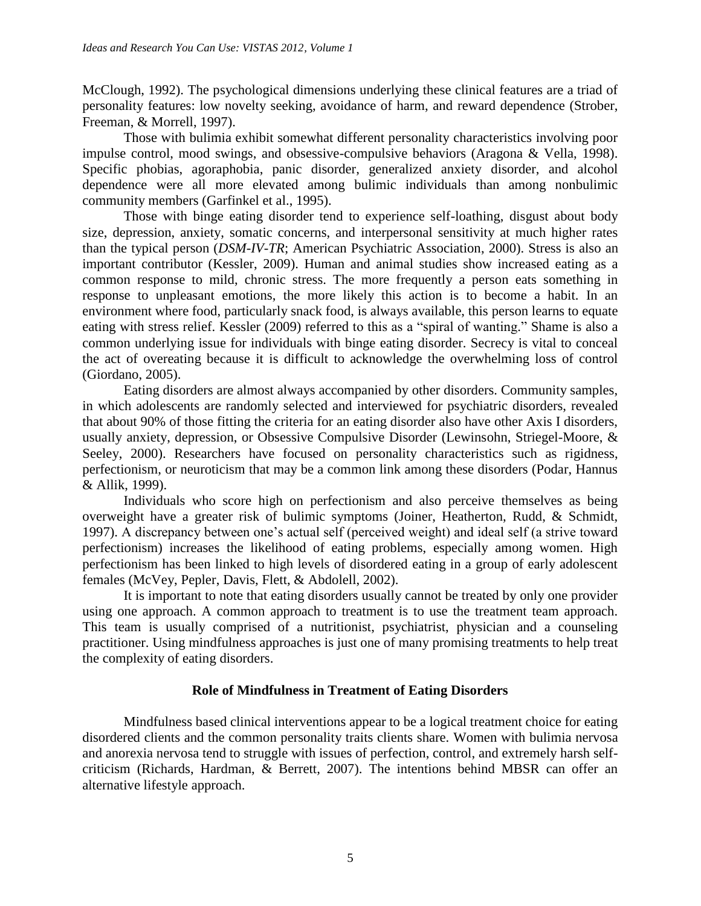McClough, 1992). The psychological dimensions underlying these clinical features are a triad of personality features: low novelty seeking, avoidance of harm, and reward dependence (Strober, Freeman, & Morrell, 1997).

Those with bulimia exhibit somewhat different personality characteristics involving poor impulse control, mood swings, and obsessive-compulsive behaviors (Aragona & Vella, 1998). Specific phobias, agoraphobia, panic disorder, generalized anxiety disorder, and alcohol dependence were all more elevated among bulimic individuals than among nonbulimic community members (Garfinkel et al., 1995).

Those with binge eating disorder tend to experience self-loathing, disgust about body size, depression, anxiety, somatic concerns, and interpersonal sensitivity at much higher rates than the typical person (*DSM-IV-TR*; American Psychiatric Association, 2000). Stress is also an important contributor (Kessler, 2009). Human and animal studies show increased eating as a common response to mild, chronic stress. The more frequently a person eats something in response to unpleasant emotions, the more likely this action is to become a habit. In an environment where food, particularly snack food, is always available, this person learns to equate eating with stress relief. Kessler (2009) referred to this as a "spiral of wanting." Shame is also a common underlying issue for individuals with binge eating disorder. Secrecy is vital to conceal the act of overeating because it is difficult to acknowledge the overwhelming loss of control (Giordano, 2005).

Eating disorders are almost always accompanied by other disorders. Community samples, in which adolescents are randomly selected and interviewed for psychiatric disorders, revealed that about 90% of those fitting the criteria for an eating disorder also have other Axis I disorders, usually anxiety, depression, or Obsessive Compulsive Disorder (Lewinsohn, Striegel-Moore, & Seeley, 2000). Researchers have focused on personality characteristics such as rigidness, perfectionism, or neuroticism that may be a common link among these disorders (Podar, Hannus & Allik, 1999).

Individuals who score high on perfectionism and also perceive themselves as being overweight have a greater risk of bulimic symptoms (Joiner, Heatherton, Rudd, & Schmidt, 1997). A discrepancy between one's actual self (perceived weight) and ideal self (a strive toward perfectionism) increases the likelihood of eating problems, especially among women. High perfectionism has been linked to high levels of disordered eating in a group of early adolescent females (McVey, Pepler, Davis, Flett, & Abdolell, 2002).

It is important to note that eating disorders usually cannot be treated by only one provider using one approach. A common approach to treatment is to use the treatment team approach. This team is usually comprised of a nutritionist, psychiatrist, physician and a counseling practitioner. Using mindfulness approaches is just one of many promising treatments to help treat the complexity of eating disorders.

### **Role of Mindfulness in Treatment of Eating Disorders**

Mindfulness based clinical interventions appear to be a logical treatment choice for eating disordered clients and the common personality traits clients share. Women with bulimia nervosa and anorexia nervosa tend to struggle with issues of perfection, control, and extremely harsh selfcriticism (Richards, Hardman, & Berrett, 2007). The intentions behind MBSR can offer an alternative lifestyle approach.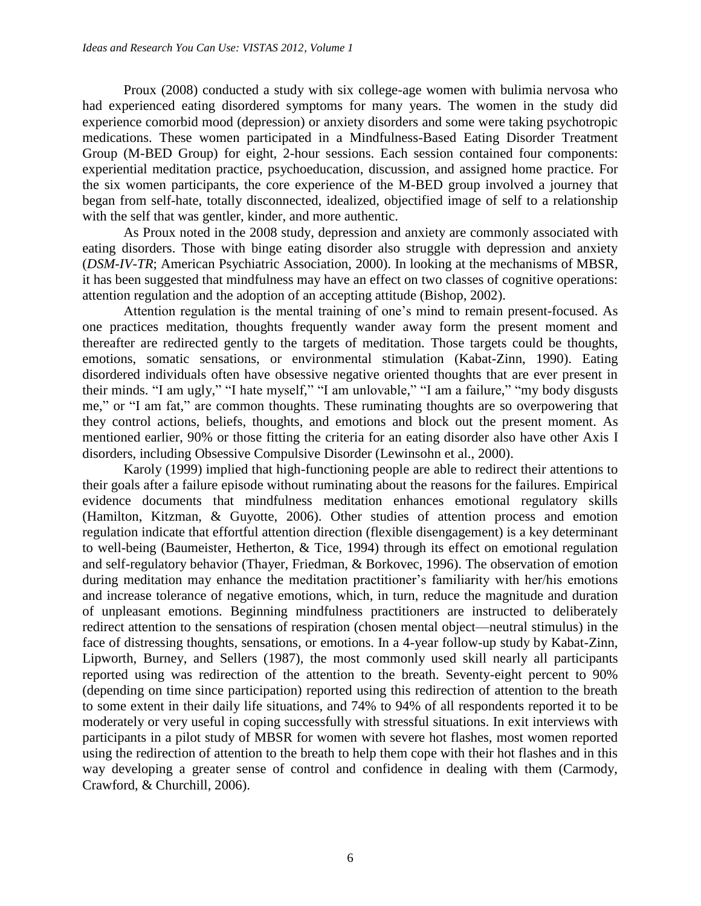Proux (2008) conducted a study with six college-age women with bulimia nervosa who had experienced eating disordered symptoms for many years. The women in the study did experience comorbid mood (depression) or anxiety disorders and some were taking psychotropic medications. These women participated in a Mindfulness-Based Eating Disorder Treatment Group (M-BED Group) for eight, 2-hour sessions. Each session contained four components: experiential meditation practice, psychoeducation, discussion, and assigned home practice. For the six women participants, the core experience of the M-BED group involved a journey that began from self-hate, totally disconnected, idealized, objectified image of self to a relationship with the self that was gentler, kinder, and more authentic.

As Proux noted in the 2008 study, depression and anxiety are commonly associated with eating disorders. Those with binge eating disorder also struggle with depression and anxiety (*DSM-IV-TR*; American Psychiatric Association, 2000). In looking at the mechanisms of MBSR, it has been suggested that mindfulness may have an effect on two classes of cognitive operations: attention regulation and the adoption of an accepting attitude (Bishop, 2002).

Attention regulation is the mental training of one's mind to remain present-focused. As one practices meditation, thoughts frequently wander away form the present moment and thereafter are redirected gently to the targets of meditation. Those targets could be thoughts, emotions, somatic sensations, or environmental stimulation (Kabat-Zinn, 1990). Eating disordered individuals often have obsessive negative oriented thoughts that are ever present in their minds. "I am ugly," "I hate myself," "I am unlovable," "I am a failure," "my body disgusts me," or "I am fat," are common thoughts. These ruminating thoughts are so overpowering that they control actions, beliefs, thoughts, and emotions and block out the present moment. As mentioned earlier, 90% or those fitting the criteria for an eating disorder also have other Axis I disorders, including Obsessive Compulsive Disorder (Lewinsohn et al., 2000).

Karoly (1999) implied that high-functioning people are able to redirect their attentions to their goals after a failure episode without ruminating about the reasons for the failures. Empirical evidence documents that mindfulness meditation enhances emotional regulatory skills (Hamilton, Kitzman, & Guyotte, 2006). Other studies of attention process and emotion regulation indicate that effortful attention direction (flexible disengagement) is a key determinant to well-being (Baumeister, Hetherton, & Tice, 1994) through its effect on emotional regulation and self-regulatory behavior (Thayer, Friedman, & Borkovec, 1996). The observation of emotion during meditation may enhance the meditation practitioner's familiarity with her/his emotions and increase tolerance of negative emotions, which, in turn, reduce the magnitude and duration of unpleasant emotions. Beginning mindfulness practitioners are instructed to deliberately redirect attention to the sensations of respiration (chosen mental object—neutral stimulus) in the face of distressing thoughts, sensations, or emotions. In a 4-year follow-up study by Kabat-Zinn, Lipworth, Burney, and Sellers (1987), the most commonly used skill nearly all participants reported using was redirection of the attention to the breath. Seventy-eight percent to 90% (depending on time since participation) reported using this redirection of attention to the breath to some extent in their daily life situations, and 74% to 94% of all respondents reported it to be moderately or very useful in coping successfully with stressful situations. In exit interviews with participants in a pilot study of MBSR for women with severe hot flashes, most women reported using the redirection of attention to the breath to help them cope with their hot flashes and in this way developing a greater sense of control and confidence in dealing with them (Carmody, Crawford, & Churchill, 2006).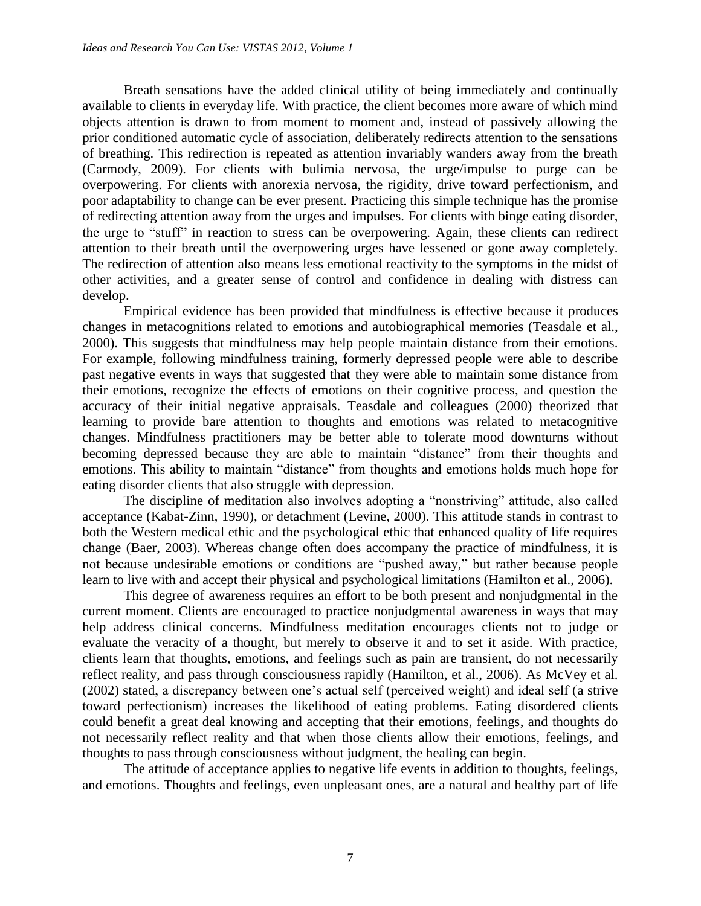Breath sensations have the added clinical utility of being immediately and continually available to clients in everyday life. With practice, the client becomes more aware of which mind objects attention is drawn to from moment to moment and, instead of passively allowing the prior conditioned automatic cycle of association, deliberately redirects attention to the sensations of breathing. This redirection is repeated as attention invariably wanders away from the breath (Carmody, 2009). For clients with bulimia nervosa, the urge/impulse to purge can be overpowering. For clients with anorexia nervosa, the rigidity, drive toward perfectionism, and poor adaptability to change can be ever present. Practicing this simple technique has the promise of redirecting attention away from the urges and impulses. For clients with binge eating disorder, the urge to "stuff" in reaction to stress can be overpowering. Again, these clients can redirect attention to their breath until the overpowering urges have lessened or gone away completely. The redirection of attention also means less emotional reactivity to the symptoms in the midst of other activities, and a greater sense of control and confidence in dealing with distress can develop.

Empirical evidence has been provided that mindfulness is effective because it produces changes in metacognitions related to emotions and autobiographical memories (Teasdale et al., 2000). This suggests that mindfulness may help people maintain distance from their emotions. For example, following mindfulness training, formerly depressed people were able to describe past negative events in ways that suggested that they were able to maintain some distance from their emotions, recognize the effects of emotions on their cognitive process, and question the accuracy of their initial negative appraisals. Teasdale and colleagues (2000) theorized that learning to provide bare attention to thoughts and emotions was related to metacognitive changes. Mindfulness practitioners may be better able to tolerate mood downturns without becoming depressed because they are able to maintain "distance" from their thoughts and emotions. This ability to maintain "distance" from thoughts and emotions holds much hope for eating disorder clients that also struggle with depression.

The discipline of meditation also involves adopting a "nonstriving" attitude, also called acceptance (Kabat-Zinn, 1990), or detachment (Levine, 2000). This attitude stands in contrast to both the Western medical ethic and the psychological ethic that enhanced quality of life requires change (Baer, 2003). Whereas change often does accompany the practice of mindfulness, it is not because undesirable emotions or conditions are "pushed away," but rather because people learn to live with and accept their physical and psychological limitations (Hamilton et al., 2006).

This degree of awareness requires an effort to be both present and nonjudgmental in the current moment. Clients are encouraged to practice nonjudgmental awareness in ways that may help address clinical concerns. Mindfulness meditation encourages clients not to judge or evaluate the veracity of a thought, but merely to observe it and to set it aside. With practice, clients learn that thoughts, emotions, and feelings such as pain are transient, do not necessarily reflect reality, and pass through consciousness rapidly (Hamilton, et al., 2006). As McVey et al. (2002) stated, a discrepancy between one's actual self (perceived weight) and ideal self (a strive toward perfectionism) increases the likelihood of eating problems. Eating disordered clients could benefit a great deal knowing and accepting that their emotions, feelings, and thoughts do not necessarily reflect reality and that when those clients allow their emotions, feelings, and thoughts to pass through consciousness without judgment, the healing can begin.

The attitude of acceptance applies to negative life events in addition to thoughts, feelings, and emotions. Thoughts and feelings, even unpleasant ones, are a natural and healthy part of life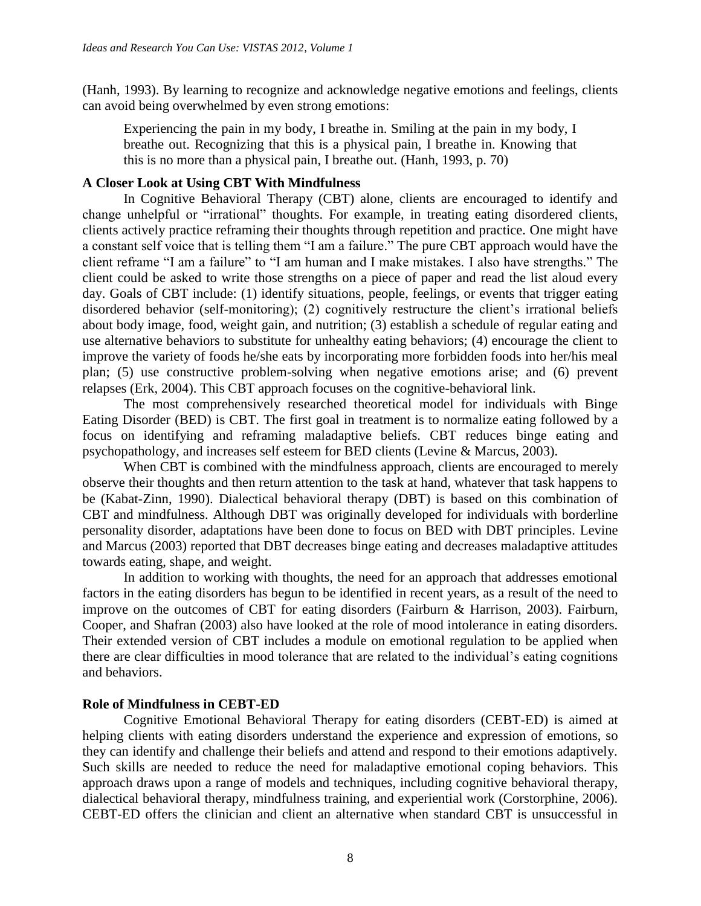(Hanh, 1993). By learning to recognize and acknowledge negative emotions and feelings, clients can avoid being overwhelmed by even strong emotions:

Experiencing the pain in my body, I breathe in. Smiling at the pain in my body, I breathe out. Recognizing that this is a physical pain, I breathe in. Knowing that this is no more than a physical pain, I breathe out. (Hanh, 1993, p. 70)

## **A Closer Look at Using CBT With Mindfulness**

In Cognitive Behavioral Therapy (CBT) alone, clients are encouraged to identify and change unhelpful or "irrational" thoughts. For example, in treating eating disordered clients, clients actively practice reframing their thoughts through repetition and practice. One might have a constant self voice that is telling them "I am a failure." The pure CBT approach would have the client reframe "I am a failure" to "I am human and I make mistakes. I also have strengths." The client could be asked to write those strengths on a piece of paper and read the list aloud every day. Goals of CBT include: (1) identify situations, people, feelings, or events that trigger eating disordered behavior (self-monitoring); (2) cognitively restructure the client's irrational beliefs about body image, food, weight gain, and nutrition; (3) establish a schedule of regular eating and use alternative behaviors to substitute for unhealthy eating behaviors; (4) encourage the client to improve the variety of foods he/she eats by incorporating more forbidden foods into her/his meal plan; (5) use constructive problem-solving when negative emotions arise; and (6) prevent relapses (Erk, 2004). This CBT approach focuses on the cognitive-behavioral link.

The most comprehensively researched theoretical model for individuals with Binge Eating Disorder (BED) is CBT. The first goal in treatment is to normalize eating followed by a focus on identifying and reframing maladaptive beliefs. CBT reduces binge eating and psychopathology, and increases self esteem for BED clients (Levine & Marcus, 2003).

When CBT is combined with the mindfulness approach, clients are encouraged to merely observe their thoughts and then return attention to the task at hand, whatever that task happens to be (Kabat-Zinn, 1990). Dialectical behavioral therapy (DBT) is based on this combination of CBT and mindfulness. Although DBT was originally developed for individuals with borderline personality disorder, adaptations have been done to focus on BED with DBT principles. Levine and Marcus (2003) reported that DBT decreases binge eating and decreases maladaptive attitudes towards eating, shape, and weight.

In addition to working with thoughts, the need for an approach that addresses emotional factors in the eating disorders has begun to be identified in recent years, as a result of the need to improve on the outcomes of CBT for eating disorders (Fairburn & Harrison, 2003). Fairburn, Cooper, and Shafran (2003) also have looked at the role of mood intolerance in eating disorders. Their extended version of CBT includes a module on emotional regulation to be applied when there are clear difficulties in mood tolerance that are related to the individual's eating cognitions and behaviors.

# **Role of Mindfulness in CEBT-ED**

Cognitive Emotional Behavioral Therapy for eating disorders (CEBT-ED) is aimed at helping clients with eating disorders understand the experience and expression of emotions, so they can identify and challenge their beliefs and attend and respond to their emotions adaptively. Such skills are needed to reduce the need for maladaptive emotional coping behaviors. This approach draws upon a range of models and techniques, including cognitive behavioral therapy, dialectical behavioral therapy, mindfulness training, and experiential work (Corstorphine, 2006). CEBT-ED offers the clinician and client an alternative when standard CBT is unsuccessful in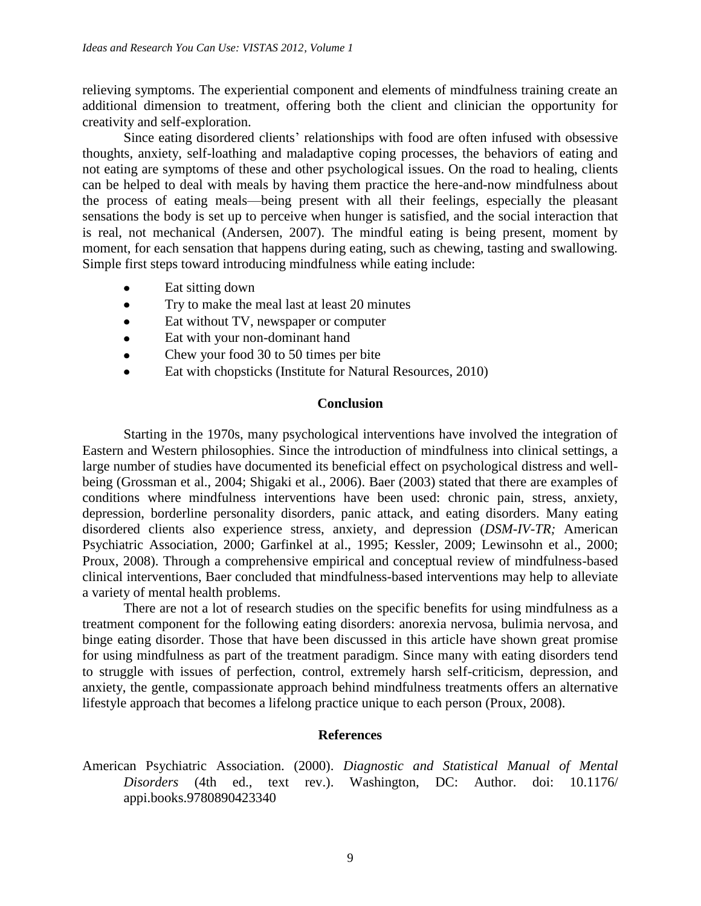relieving symptoms. The experiential component and elements of mindfulness training create an additional dimension to treatment, offering both the client and clinician the opportunity for creativity and self-exploration.

Since eating disordered clients' relationships with food are often infused with obsessive thoughts, anxiety, self-loathing and maladaptive coping processes, the behaviors of eating and not eating are symptoms of these and other psychological issues. On the road to healing, clients can be helped to deal with meals by having them practice the here-and-now mindfulness about the process of eating meals—being present with all their feelings, especially the pleasant sensations the body is set up to perceive when hunger is satisfied, and the social interaction that is real, not mechanical (Andersen, 2007). The mindful eating is being present, moment by moment, for each sensation that happens during eating, such as chewing, tasting and swallowing. Simple first steps toward introducing mindfulness while eating include:

- Eat sitting down
- Try to make the meal last at least 20 minutes  $\bullet$
- Eat without TV, newspaper or computer  $\bullet$
- Eat with your non-dominant hand
- Chew your food 30 to 50 times per bite  $\bullet$
- Eat with chopsticks (Institute for Natural Resources, 2010)

### **Conclusion**

Starting in the 1970s, many psychological interventions have involved the integration of Eastern and Western philosophies. Since the introduction of mindfulness into clinical settings, a large number of studies have documented its beneficial effect on psychological distress and wellbeing (Grossman et al., 2004; Shigaki et al., 2006). Baer (2003) stated that there are examples of conditions where mindfulness interventions have been used: chronic pain, stress, anxiety, depression, borderline personality disorders, panic attack, and eating disorders. Many eating disordered clients also experience stress, anxiety, and depression (*DSM-IV-TR;* American Psychiatric Association, 2000; Garfinkel at al., 1995; Kessler, 2009; Lewinsohn et al., 2000; Proux, 2008). Through a comprehensive empirical and conceptual review of mindfulness-based clinical interventions, Baer concluded that mindfulness-based interventions may help to alleviate a variety of mental health problems.

There are not a lot of research studies on the specific benefits for using mindfulness as a treatment component for the following eating disorders: anorexia nervosa, bulimia nervosa, and binge eating disorder. Those that have been discussed in this article have shown great promise for using mindfulness as part of the treatment paradigm. Since many with eating disorders tend to struggle with issues of perfection, control, extremely harsh self-criticism, depression, and anxiety, the gentle, compassionate approach behind mindfulness treatments offers an alternative lifestyle approach that becomes a lifelong practice unique to each person (Proux, 2008).

# **References**

American Psychiatric Association. (2000). *Diagnostic and Statistical Manual of Mental Disorders* (4th ed., text rev.). Washington, DC: Author. doi: 10.1176/ appi.books.9780890423340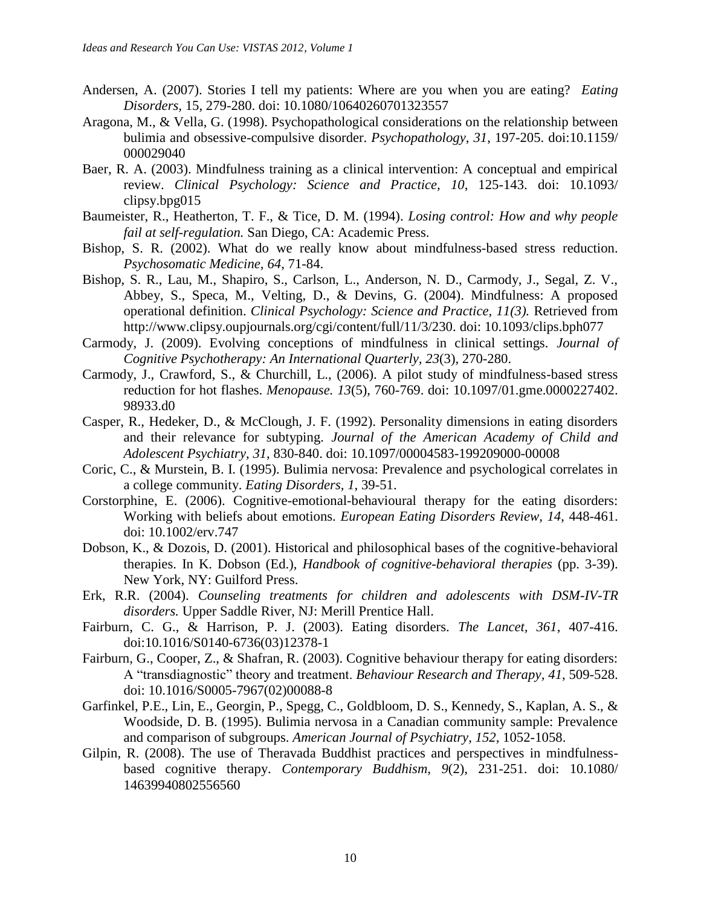- Andersen, A. (2007). Stories I tell my patients: Where are you when you are eating? *Eating Disorders,* 15, 279-280. doi: 10.1080/10640260701323557
- Aragona, M., & Vella, G. (1998). Psychopathological considerations on the relationship between bulimia and obsessive-compulsive disorder. *Psychopathology*, *31*, 197-205. doi:10.1159/ 000029040
- Baer, R. A. (2003). Mindfulness training as a clinical intervention: A conceptual and empirical review. *Clinical Psychology: Science and Practice, 10*, 125-143. doi: 10.1093/ clipsy.bpg015
- Baumeister, R., Heatherton, T. F., & Tice, D. M. (1994). *Losing control: How and why people fail at self-regulation.* San Diego, CA: Academic Press.
- Bishop, S. R. (2002). What do we really know about mindfulness-based stress reduction. *Psychosomatic Medicine, 64*, 71-84.
- Bishop, S. R., Lau, M., Shapiro, S., Carlson, L., Anderson, N. D., Carmody, J., Segal, Z. V., Abbey, S., Speca, M., Velting, D., & Devins, G. (2004). Mindfulness: A proposed operational definition. *Clinical Psychology: Science and Practice, 11(3).* Retrieved from http://www.clipsy.oupjournals.org/cgi/content/full/11/3/230. doi: 10.1093/clips.bph077
- Carmody, J. (2009). Evolving conceptions of mindfulness in clinical settings. *Journal of Cognitive Psychotherapy: An International Quarterly, 23*(3), 270-280.
- Carmody, J., Crawford, S., & Churchill, L., (2006). A pilot study of mindfulness-based stress reduction for hot flashes. *Menopause. 13*(5), 760-769. doi: 10.1097/01.gme.0000227402. 98933.d0
- Casper, R., Hedeker, D., & McClough, J. F. (1992). Personality dimensions in eating disorders and their relevance for subtyping. *Journal of the American Academy of Child and Adolescent Psychiatry*, *31*, 830-840. doi: 10.1097/00004583-199209000-00008
- Coric, C., & Murstein, B. I. (1995). Bulimia nervosa: Prevalence and psychological correlates in a college community. *Eating Disorders, 1*, 39-51.
- Corstorphine, E. (2006). Cognitive-emotional-behavioural therapy for the eating disorders: Working with beliefs about emotions. *European Eating Disorders Review, 14*, 448-461. doi: 10.1002/erv.747
- Dobson, K., & Dozois, D. (2001). Historical and philosophical bases of the cognitive-behavioral therapies. In K. Dobson (Ed.), *Handbook of cognitive-behavioral therapies* (pp. 3-39). New York, NY: Guilford Press.
- Erk, R.R. (2004). *Counseling treatments for children and adolescents with DSM-IV-TR disorders.* Upper Saddle River, NJ: Merill Prentice Hall.
- Fairburn, C. G., & Harrison, P. J. (2003). Eating disorders. *The Lancet, 361*, 407-416. doi:10.1016/S0140-6736(03)12378-1
- Fairburn, G., Cooper, Z., & Shafran, R. (2003). Cognitive behaviour therapy for eating disorders: A "transdiagnostic" theory and treatment. *Behaviour Research and Therapy, 41*, 509-528. doi: 10.1016/S0005-7967(02)00088-8
- Garfinkel, P.E., Lin, E., Georgin, P., Spegg, C., Goldbloom, D. S., Kennedy, S., Kaplan, A. S., & Woodside, D. B. (1995). Bulimia nervosa in a Canadian community sample: Prevalence and comparison of subgroups. *American Journal of Psychiatry*, *152*, 1052-1058.
- Gilpin, R. (2008). The use of Theravada Buddhist practices and perspectives in mindfulnessbased cognitive therapy. *Contemporary Buddhism, 9*(2), 231-251. doi: 10.1080/ 14639940802556560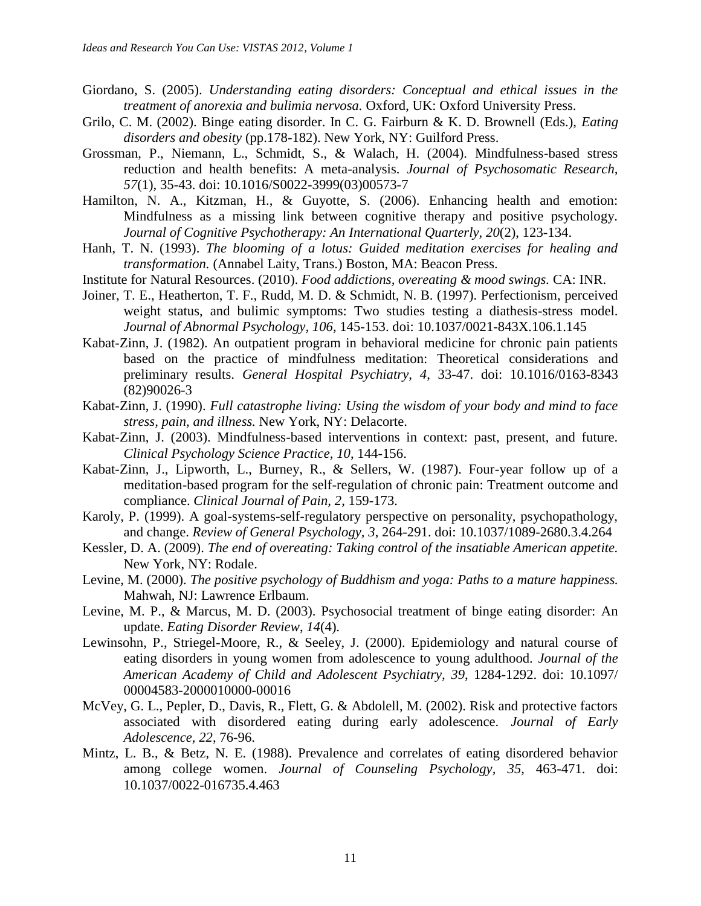- Giordano, S. (2005). *Understanding eating disorders: Conceptual and ethical issues in the treatment of anorexia and bulimia nervosa.* Oxford, UK: Oxford University Press.
- Grilo, C. M. (2002). Binge eating disorder. In C. G. Fairburn & K. D. Brownell (Eds.), *Eating disorders and obesity* (pp.178-182). New York, NY: Guilford Press.
- Grossman, P., Niemann, L., Schmidt, S., & Walach, H. (2004). Mindfulness-based stress reduction and health benefits: A meta-analysis. *Journal of Psychosomatic Research, 57*(1), 35-43. doi: 10.1016/S0022-3999(03)00573-7
- Hamilton, N. A., Kitzman, H., & Guyotte, S. (2006). Enhancing health and emotion: Mindfulness as a missing link between cognitive therapy and positive psychology. *Journal of Cognitive Psychotherapy: An International Quarterly, 20*(2), 123-134.
- Hanh, T. N. (1993). *The blooming of a lotus: Guided meditation exercises for healing and transformation.* (Annabel Laity, Trans.) Boston, MA: Beacon Press.
- Institute for Natural Resources. (2010). *Food addictions, overeating & mood swings.* CA: INR.
- Joiner, T. E., Heatherton, T. F., Rudd, M. D. & Schmidt, N. B. (1997). Perfectionism, perceived weight status, and bulimic symptoms: Two studies testing a diathesis-stress model. *Journal of Abnormal Psychology, 106*, 145-153. doi: 10.1037/0021-843X.106.1.145
- Kabat-Zinn, J. (1982). An outpatient program in behavioral medicine for chronic pain patients based on the practice of mindfulness meditation: Theoretical considerations and preliminary results. *General Hospital Psychiatry, 4*, 33-47. doi: 10.1016/0163-8343 (82)90026-3
- Kabat-Zinn, J. (1990). *Full catastrophe living: Using the wisdom of your body and mind to face stress, pain, and illness.* New York, NY: Delacorte.
- Kabat-Zinn, J. (2003). Mindfulness-based interventions in context: past, present, and future. *Clinical Psychology Science Practice, 10*, 144-156.
- Kabat-Zinn, J., Lipworth, L., Burney, R., & Sellers, W. (1987). Four-year follow up of a meditation-based program for the self-regulation of chronic pain: Treatment outcome and compliance. *Clinical Journal of Pain, 2*, 159-173.
- Karoly, P. (1999). A goal-systems-self-regulatory perspective on personality, psychopathology, and change. *Review of General Psychology, 3*, 264-291. doi: 10.1037/1089-2680.3.4.264
- Kessler, D. A. (2009). *The end of overeating: Taking control of the insatiable American appetite.*  New York, NY: Rodale.
- Levine, M. (2000). *The positive psychology of Buddhism and yoga: Paths to a mature happiness.*  Mahwah, NJ: Lawrence Erlbaum.
- Levine, M. P., & Marcus, M. D. (2003). Psychosocial treatment of binge eating disorder: An update. *Eating Disorder Review*, *14*(4).
- Lewinsohn, P., Striegel-Moore, R., & Seeley, J. (2000). Epidemiology and natural course of eating disorders in young women from adolescence to young adulthood. *Journal of the American Academy of Child and Adolescent Psychiatry, 39*, 1284-1292. doi: 10.1097/ 00004583-2000010000-00016
- McVey, G. L., Pepler, D., Davis, R., Flett, G. & Abdolell, M. (2002). Risk and protective factors associated with disordered eating during early adolescence. *Journal of Early Adolescence, 22*, 76-96.
- Mintz, L. B., & Betz, N. E. (1988). Prevalence and correlates of eating disordered behavior among college women. *Journal of Counseling Psychology, 35*, 463-471. doi: 10.1037/0022-016735.4.463